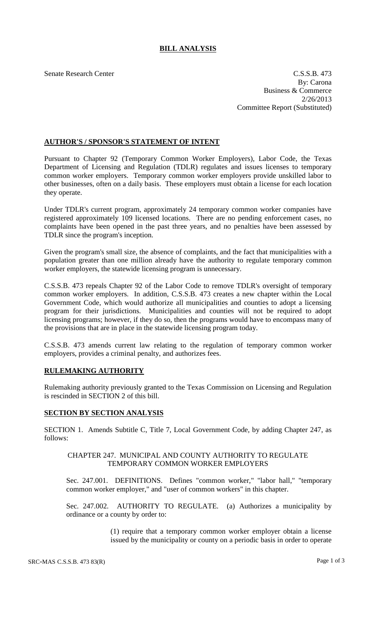# **BILL ANALYSIS**

Senate Research Center C.S.S.B. 473 By: Carona Business & Commerce 2/26/2013 Committee Report (Substituted)

## **AUTHOR'S / SPONSOR'S STATEMENT OF INTENT**

Pursuant to Chapter 92 (Temporary Common Worker Employers), Labor Code, the Texas Department of Licensing and Regulation (TDLR) regulates and issues licenses to temporary common worker employers. Temporary common worker employers provide unskilled labor to other businesses, often on a daily basis. These employers must obtain a license for each location they operate.

Under TDLR's current program, approximately 24 temporary common worker companies have registered approximately 109 licensed locations. There are no pending enforcement cases, no complaints have been opened in the past three years, and no penalties have been assessed by TDLR since the program's inception.

Given the program's small size, the absence of complaints, and the fact that municipalities with a population greater than one million already have the authority to regulate temporary common worker employers, the statewide licensing program is unnecessary.

C.S.S.B. 473 repeals Chapter 92 of the Labor Code to remove TDLR's oversight of temporary common worker employers. In addition, C.S.S.B. 473 creates a new chapter within the Local Government Code, which would authorize all municipalities and counties to adopt a licensing program for their jurisdictions. Municipalities and counties will not be required to adopt licensing programs; however, if they do so, then the programs would have to encompass many of the provisions that are in place in the statewide licensing program today.

C.S.S.B. 473 amends current law relating to the regulation of temporary common worker employers, provides a criminal penalty, and authorizes fees.

## **RULEMAKING AUTHORITY**

Rulemaking authority previously granted to the Texas Commission on Licensing and Regulation is rescinded in SECTION 2 of this bill.

## **SECTION BY SECTION ANALYSIS**

SECTION 1. Amends Subtitle C, Title 7, Local Government Code, by adding Chapter 247, as follows:

### CHAPTER 247. MUNICIPAL AND COUNTY AUTHORITY TO REGULATE TEMPORARY COMMON WORKER EMPLOYERS

Sec. 247.001. DEFINITIONS. Defines "common worker," "labor hall," "temporary common worker employer," and "user of common workers" in this chapter.

Sec. 247.002. AUTHORITY TO REGULATE. (a) Authorizes a municipality by ordinance or a county by order to:

> (1) require that a temporary common worker employer obtain a license issued by the municipality or county on a periodic basis in order to operate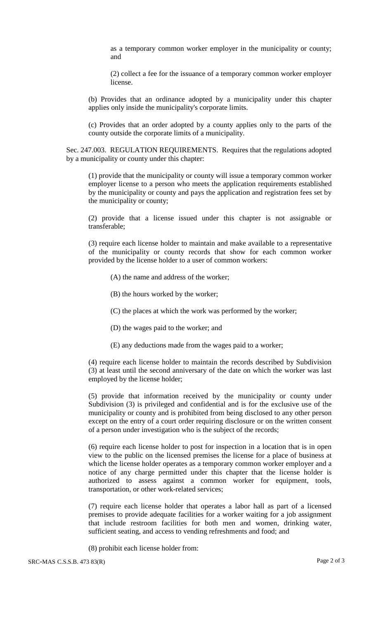as a temporary common worker employer in the municipality or county; and

(2) collect a fee for the issuance of a temporary common worker employer license.

(b) Provides that an ordinance adopted by a municipality under this chapter applies only inside the municipality's corporate limits.

(c) Provides that an order adopted by a county applies only to the parts of the county outside the corporate limits of a municipality.

Sec. 247.003. REGULATION REQUIREMENTS. Requires that the regulations adopted by a municipality or county under this chapter:

(1) provide that the municipality or county will issue a temporary common worker employer license to a person who meets the application requirements established by the municipality or county and pays the application and registration fees set by the municipality or county;

(2) provide that a license issued under this chapter is not assignable or transferable;

(3) require each license holder to maintain and make available to a representative of the municipality or county records that show for each common worker provided by the license holder to a user of common workers:

- (A) the name and address of the worker;
- (B) the hours worked by the worker;
- (C) the places at which the work was performed by the worker;
- (D) the wages paid to the worker; and
- (E) any deductions made from the wages paid to a worker;

(4) require each license holder to maintain the records described by Subdivision (3) at least until the second anniversary of the date on which the worker was last employed by the license holder;

(5) provide that information received by the municipality or county under Subdivision (3) is privileged and confidential and is for the exclusive use of the municipality or county and is prohibited from being disclosed to any other person except on the entry of a court order requiring disclosure or on the written consent of a person under investigation who is the subject of the records;

(6) require each license holder to post for inspection in a location that is in open view to the public on the licensed premises the license for a place of business at which the license holder operates as a temporary common worker employer and a notice of any charge permitted under this chapter that the license holder is authorized to assess against a common worker for equipment, tools, transportation, or other work-related services;

(7) require each license holder that operates a labor hall as part of a licensed premises to provide adequate facilities for a worker waiting for a job assignment that include restroom facilities for both men and women, drinking water, sufficient seating, and access to vending refreshments and food; and

(8) prohibit each license holder from: